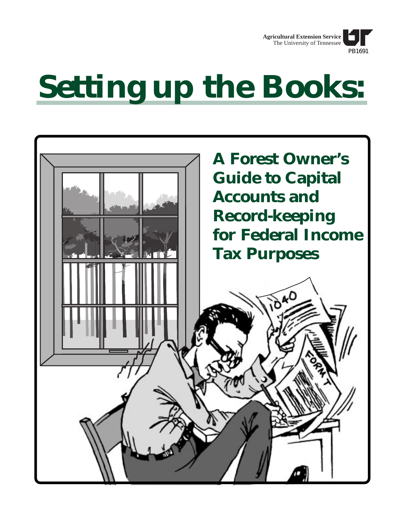

# **Setting up the Books:**

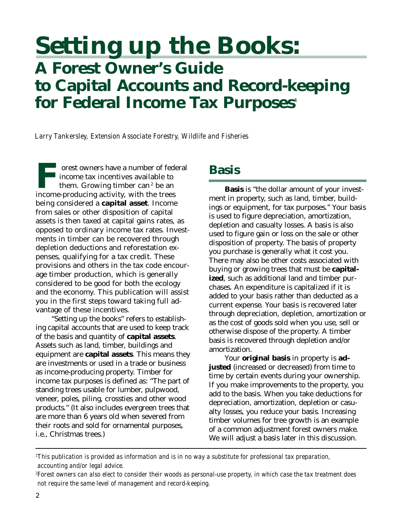# **Setting up the Books: A Forest Owner's Guide to Capital Accounts and Record-keeping** for Federal Income Tax Purposes<sup>1</sup>

*Larry Tankersley, Extension Associate Forestry, Wildlife and Fisheries*

**Forest owners have a number of federal** income tax incentives available to them. Growing timber can $^{\rm 2}$  be an income-producing activity, with the trees being considered a **capital asset**. Income from sales or other disposition of capital assets is then taxed at capital gains rates, as opposed to ordinary income tax rates. Investments in timber can be recovered through depletion deductions and reforestation expenses, qualifying for a tax credit. These provisions and others in the tax code encourage timber production, which is generally considered to be good for both the ecology and the economy. This publication will assist you in the first steps toward taking full advantage of these incentives.

"Setting up the books" refers to establishing capital accounts that are used to keep track of the basis and quantity of **capital assets**. Assets such as land, timber, buildings and equipment are **capital assets**. This means they are investments or used in a trade or business as income-producing property. Timber for income tax purposes is defined as: "The part of standing trees usable for lumber, pulpwood, veneer, poles, piling, crossties and other wood products." (It also includes evergreen trees that are more than 6 years old when severed from their roots and sold for ornamental purposes, i.e., Christmas trees.)

#### **Basis**

**Basis** is "the dollar amount of your investment in property, such as land, timber, buildings or equipment, for tax purposes." Your basis is used to figure depreciation, amortization, depletion and casualty losses. A basis is also used to figure gain or loss on the sale or other disposition of property. The basis of property you purchase is generally what it cost you. There may also be other costs associated with buying or growing trees that must be **capitalized**, such as additional land and timber purchases. An expenditure is capitalized if it is added to your basis rather than deducted as a current expense. Your basis is recovered later through depreciation, depletion, amortization or as the cost of goods sold when you use, sell or otherwise dispose of the property. A timber basis is recovered through depletion and/or amortization.

Your **original basis** in property is **adjusted** (increased or decreased) from time to time by certain events during your ownership. If you make improvements to the property, you add to the basis. When you take deductions for depreciation, amortization, depletion or casualty losses, you reduce your basis. Increasing timber volumes for tree growth is an example of a common adjustment forest owners make. We will adjust a basis later in this discussion.

*1 This publication is provided as information and is in no way a substitute for professional tax preparation, accounting and/or legal advice.*

*<sup>2</sup> Forest owners can also elect to consider their woods as personal-use property, in which case the tax treatment does not require the same level of management and record-keeping.*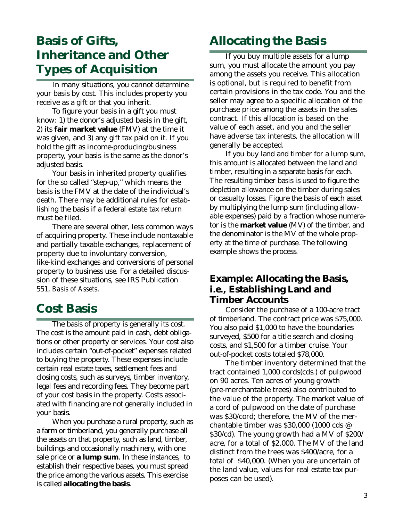### **Basis of Gifts, Inheritance and Other Types of Acquisition**

In many situations, you cannot determine your basis by cost. This includes property you receive as a gift or that you inherit.

To figure your basis in a gift you must know: 1) the donor's adjusted basis in the gift, 2) its **fair market value** (FMV) at the time it was given, and 3) any gift tax paid on it. If you hold the gift as income-producing/business property, your basis is the same as the donor's adjusted basis.

Your basis in inherited property qualifies for the so called "step-up," which means the basis is the FMV at the date of the individual's death. There may be additional rules for establishing the basis if a federal estate tax return must be filed.

There are several other, less common ways of acquiring property. These include nontaxable and partially taxable exchanges, replacement of property due to involuntary conversion, like-kind exchanges and conversions of personal property to business use. For a detailed discussion of these situations, see IRS Publication 551, *Basis of Assets*.

#### **Cost Basis**

The basis of property is generally its cost. The cost is the amount paid in cash, debt obligations or other property or services. Your cost also includes certain "out-of-pocket" expenses related to buying the property. These expenses include certain real estate taxes, settlement fees and closing costs, such as surveys, timber inventory, legal fees and recording fees. They become part of your cost basis in the property. Costs associated with financing are not generally included in your basis.

When you purchase a rural property, such as a farm or timberland, you generally purchase all the assets on that property, such as land, timber, buildings and occasionally machinery, with one sale price or **a lump sum**. In these instances, to establish their respective bases, you must spread the price among the various assets. This exercise is called **allocating the basis**.

## **Allocating the Basis**

If you buy multiple assets for a lump sum, you must allocate the amount you pay among the assets you receive. This allocation is optional, but is required to benefit from certain provisions in the tax code. You and the seller may agree to a specific allocation of the purchase price among the assets in the sales contract. If this allocation is based on the value of each asset, and you and the seller have adverse tax interests, the allocation will generally be accepted.

If you buy land and timber for a lump sum, this amount is allocated between the land and timber, resulting in a separate basis for each. The resulting timber basis is used to figure the depletion allowance on the timber during sales or casualty losses. Figure the basis of each asset by multiplying the lump sum (including allowable expenses) paid by a fraction whose numerator is the **market value** (MV) of the timber, and the denominator is the MV of the whole property at the time of purchase. The following example shows the process.

#### **Example: Allocating the Basis, i.e., Establishing Land and Timber Accounts**

Consider the purchase of a 100-acre tract of timberland. The contract price was \$75,000. You also paid \$1,000 to have the boundaries surveyed, \$500 for a title search and closing costs, and \$1,500 for a timber cruise. Your out-of-pocket costs totaled \$78,000.

The timber inventory determined that the tract contained 1,000 cords(cds.) of pulpwood on 90 acres. Ten acres of young growth (pre-merchantable trees) also contributed to the value of the property. The market value of a cord of pulpwood on the date of purchase was \$30/cord; therefore, the MV of the merchantable timber was \$30,000 (1000 cds @ \$30/cd). The young growth had a MV of \$200/ acre, for a total of \$2,000. The MV of the land distinct from the trees was \$400/acre, for a total of \$40,000. (When you are uncertain of the land value, values for real estate tax purposes can be used).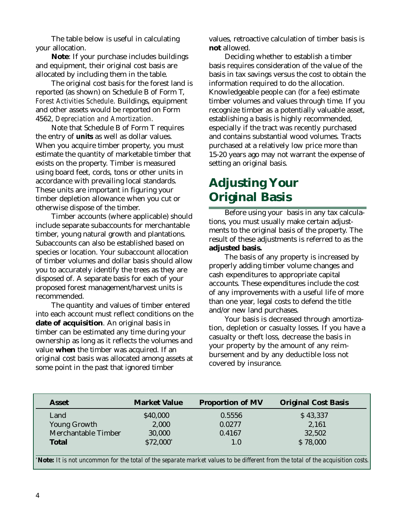The table below is useful in calculating your allocation.

**Note**: If your purchase includes buildings and equipment, their original cost basis are allocated by including them in the table.

The original cost basis for the forest land is reported (as shown) on Schedule B of Form T, *Forest Activities Schedule*. Buildings, equipment and other assets would be reported on Form 4562, *Depreciation and Amortization*.

Note that Schedule B of Form T requires the entry of *units* as well as dollar values. When you acquire timber property, you must estimate the quantity of marketable timber that exists on the property. Timber is measured using board feet, cords, tons or other units in accordance with prevailing local standards. These units are important in figuring your timber depletion allowance when you cut or otherwise dispose of the timber.

Timber accounts (where applicable) should include separate subaccounts for merchantable timber, young natural growth and plantations. Subaccounts can also be established based on species or location. Your subaccount allocation of timber volumes and dollar basis should allow you to accurately identify the trees as they are disposed of. A separate basis for each of your proposed forest management/harvest units is recommended.

The quantity and values of timber entered into each account must reflect conditions on the **date of acquisition**. An original basis in timber can be estimated any time during your ownership as long as it reflects the volumes and value **when** the timber was acquired. If an original cost basis was allocated among assets at some point in the past that ignored timber

values, retroactive calculation of timber basis is **not** allowed.

Deciding whether to establish a timber basis requires consideration of the value of the basis in tax savings versus the cost to obtain the information required to do the allocation. Knowledgeable people can (for a fee) estimate timber volumes and values through time. If you recognize timber as a potentially valuable asset, establishing a basis is highly recommended, especially if the tract was recently purchased and contains substantial wood volumes. Tracts purchased at a relatively low price more than 15-20 years ago may not warrant the expense of setting an original basis.

# **Adjusting Your Original Basis**

Before using your basis in any tax calculations, you must usually make certain adjustments to the original basis of the property. The result of these adjustments is referred to as the **adjusted basis.**

The basis of any property is increased by properly adding timber volume changes and cash expenditures to appropriate capital accounts. These expenditures include the cost of any improvements with a useful life of more than one year, legal costs to defend the title and/or new land purchases.

Your basis is decreased through amortization, depletion or casualty losses. If you have a casualty or theft loss, decrease the basis in your property by the amount of any reimbursement and by any deductible loss not covered by insurance.

| \$40,000<br>0.5556 |          |
|--------------------|----------|
|                    | \$43,337 |
| 2,000<br>0.0277    | 2,161    |
| 30,000<br>0.4167   | 32,502   |
| \$72,000*<br>1.0   | \$78,000 |
|                    |          |

*\* Note: It is not uncommon for the total of the separate market values to be different from the total of the acquisition costs.*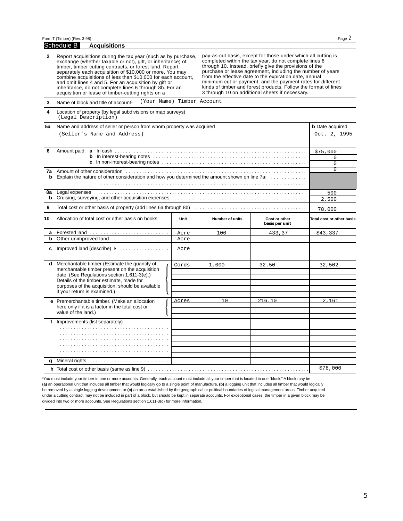|              | Form T (Timber) (Rev. 3-98)                                                                                                                                                                                                                                                                                                                                                                                                                                                                    |       |                                                                                                                                                                                                                                                                                                                                                                                                                                                                                                 |                                 | Page 2                    |  |  |
|--------------|------------------------------------------------------------------------------------------------------------------------------------------------------------------------------------------------------------------------------------------------------------------------------------------------------------------------------------------------------------------------------------------------------------------------------------------------------------------------------------------------|-------|-------------------------------------------------------------------------------------------------------------------------------------------------------------------------------------------------------------------------------------------------------------------------------------------------------------------------------------------------------------------------------------------------------------------------------------------------------------------------------------------------|---------------------------------|---------------------------|--|--|
|              | Schedule B<br><b>Acquisitions</b>                                                                                                                                                                                                                                                                                                                                                                                                                                                              |       |                                                                                                                                                                                                                                                                                                                                                                                                                                                                                                 |                                 |                           |  |  |
| $\mathbf{2}$ | Report acquisitions during the tax year (such as by purchase,<br>exchange (whether taxable or not), gift, or inheritance) of<br>timber, timber cutting contracts, or forest land. Report<br>separately each acquisition of \$10,000 or more. You may<br>combine acquisitions of less than \$10,000 for each account,<br>and omit lines 4 and 5. For an acquisition by gift or<br>inheritance, do not complete lines 6 through 8b. For an<br>acquisition or lease of timber-cutting rights on a |       | pay-as-cut basis, except for those under which all cutting is<br>completed within the tax year, do not complete lines 6<br>through 10. Instead, briefly give the provisions of the<br>purchase or lease agreement, including the number of years<br>from the effective date to the expiration date, annual<br>minimum cut or payment, and the payment rates for different<br>kinds of timber and forest products. Follow the format of lines<br>3 through 10 on additional sheets if necessary. |                                 |                           |  |  |
| 3            | (Your Name) Timber Account<br>Name of block and title of account <sup>1</sup>                                                                                                                                                                                                                                                                                                                                                                                                                  |       |                                                                                                                                                                                                                                                                                                                                                                                                                                                                                                 |                                 |                           |  |  |
| 4            | Location of property (by legal subdivisions or map surveys)<br>(Legal Description)                                                                                                                                                                                                                                                                                                                                                                                                             |       |                                                                                                                                                                                                                                                                                                                                                                                                                                                                                                 |                                 |                           |  |  |
| 5a           | Name and address of seller or person from whom property was acquired                                                                                                                                                                                                                                                                                                                                                                                                                           |       |                                                                                                                                                                                                                                                                                                                                                                                                                                                                                                 |                                 | <b>b</b> Date acquired    |  |  |
|              | (Seller's Name and Address)                                                                                                                                                                                                                                                                                                                                                                                                                                                                    |       |                                                                                                                                                                                                                                                                                                                                                                                                                                                                                                 |                                 |                           |  |  |
| 6            |                                                                                                                                                                                                                                                                                                                                                                                                                                                                                                |       |                                                                                                                                                                                                                                                                                                                                                                                                                                                                                                 |                                 | \$75,000                  |  |  |
|              | b                                                                                                                                                                                                                                                                                                                                                                                                                                                                                              |       | 0                                                                                                                                                                                                                                                                                                                                                                                                                                                                                               |                                 |                           |  |  |
|              |                                                                                                                                                                                                                                                                                                                                                                                                                                                                                                |       |                                                                                                                                                                                                                                                                                                                                                                                                                                                                                                 |                                 | $\Omega$                  |  |  |
|              |                                                                                                                                                                                                                                                                                                                                                                                                                                                                                                |       |                                                                                                                                                                                                                                                                                                                                                                                                                                                                                                 |                                 | $\overline{0}$            |  |  |
| b            | Explain the nature of other consideration and how you determined the amount shown on line 7a:                                                                                                                                                                                                                                                                                                                                                                                                  |       |                                                                                                                                                                                                                                                                                                                                                                                                                                                                                                 |                                 |                           |  |  |
|              |                                                                                                                                                                                                                                                                                                                                                                                                                                                                                                |       |                                                                                                                                                                                                                                                                                                                                                                                                                                                                                                 |                                 |                           |  |  |
|              | 8a Legal expenses                                                                                                                                                                                                                                                                                                                                                                                                                                                                              |       |                                                                                                                                                                                                                                                                                                                                                                                                                                                                                                 |                                 |                           |  |  |
|              | b                                                                                                                                                                                                                                                                                                                                                                                                                                                                                              |       |                                                                                                                                                                                                                                                                                                                                                                                                                                                                                                 |                                 |                           |  |  |
| 9            | 78,000                                                                                                                                                                                                                                                                                                                                                                                                                                                                                         |       |                                                                                                                                                                                                                                                                                                                                                                                                                                                                                                 |                                 |                           |  |  |
| 10           | Allocation of total cost or other basis on books:                                                                                                                                                                                                                                                                                                                                                                                                                                              | Unit  | Number of units                                                                                                                                                                                                                                                                                                                                                                                                                                                                                 | Cost or other<br>basis per unit | Total cost or other basis |  |  |
| a            | Forested land                                                                                                                                                                                                                                                                                                                                                                                                                                                                                  | Acre  | 100                                                                                                                                                                                                                                                                                                                                                                                                                                                                                             | 433,37                          | \$43,337                  |  |  |
| b            | Other unimproved land                                                                                                                                                                                                                                                                                                                                                                                                                                                                          | Acre  |                                                                                                                                                                                                                                                                                                                                                                                                                                                                                                 |                                 |                           |  |  |
|              | c Improved land (describe) $\rightarrow$                                                                                                                                                                                                                                                                                                                                                                                                                                                       | Acre  |                                                                                                                                                                                                                                                                                                                                                                                                                                                                                                 |                                 |                           |  |  |
| d            | Merchantable timber (Estimate the quantity of                                                                                                                                                                                                                                                                                                                                                                                                                                                  | Cords | 1,000                                                                                                                                                                                                                                                                                                                                                                                                                                                                                           | 32.50                           | 32,502                    |  |  |
|              | merchantable timber present on the acquisition                                                                                                                                                                                                                                                                                                                                                                                                                                                 |       |                                                                                                                                                                                                                                                                                                                                                                                                                                                                                                 |                                 |                           |  |  |
|              | date. (See Regulations section 1.611-3(e).)<br>Details of the timber estimate, made for                                                                                                                                                                                                                                                                                                                                                                                                        |       |                                                                                                                                                                                                                                                                                                                                                                                                                                                                                                 |                                 |                           |  |  |
|              | purposes of the acquisition, should be available                                                                                                                                                                                                                                                                                                                                                                                                                                               |       |                                                                                                                                                                                                                                                                                                                                                                                                                                                                                                 |                                 |                           |  |  |
|              | if your return is examined.)                                                                                                                                                                                                                                                                                                                                                                                                                                                                   |       |                                                                                                                                                                                                                                                                                                                                                                                                                                                                                                 |                                 |                           |  |  |
|              | e Premerchantable timber. (Make an allocation                                                                                                                                                                                                                                                                                                                                                                                                                                                  | Acres | 10                                                                                                                                                                                                                                                                                                                                                                                                                                                                                              | 216.10                          | 2,161                     |  |  |
|              | here only if it is a factor in the total cost or                                                                                                                                                                                                                                                                                                                                                                                                                                               |       |                                                                                                                                                                                                                                                                                                                                                                                                                                                                                                 |                                 |                           |  |  |
|              | value of the land.)                                                                                                                                                                                                                                                                                                                                                                                                                                                                            |       |                                                                                                                                                                                                                                                                                                                                                                                                                                                                                                 |                                 |                           |  |  |
|              | f Improvements (list separately)                                                                                                                                                                                                                                                                                                                                                                                                                                                               |       |                                                                                                                                                                                                                                                                                                                                                                                                                                                                                                 |                                 |                           |  |  |
|              |                                                                                                                                                                                                                                                                                                                                                                                                                                                                                                |       |                                                                                                                                                                                                                                                                                                                                                                                                                                                                                                 |                                 |                           |  |  |
|              |                                                                                                                                                                                                                                                                                                                                                                                                                                                                                                |       |                                                                                                                                                                                                                                                                                                                                                                                                                                                                                                 |                                 |                           |  |  |
|              |                                                                                                                                                                                                                                                                                                                                                                                                                                                                                                |       |                                                                                                                                                                                                                                                                                                                                                                                                                                                                                                 |                                 |                           |  |  |
|              |                                                                                                                                                                                                                                                                                                                                                                                                                                                                                                |       |                                                                                                                                                                                                                                                                                                                                                                                                                                                                                                 |                                 |                           |  |  |
|              |                                                                                                                                                                                                                                                                                                                                                                                                                                                                                                |       |                                                                                                                                                                                                                                                                                                                                                                                                                                                                                                 |                                 |                           |  |  |
| g            |                                                                                                                                                                                                                                                                                                                                                                                                                                                                                                |       |                                                                                                                                                                                                                                                                                                                                                                                                                                                                                                 |                                 |                           |  |  |
|              | h Total cost or other basis (same as line 9)                                                                                                                                                                                                                                                                                                                                                                                                                                                   |       |                                                                                                                                                                                                                                                                                                                                                                                                                                                                                                 |                                 | \$78,000                  |  |  |

1You must include your timber in one or more accounts. Generally, each account must include all your timber that is located in one "block." A block may be **(a)** an operational unit that includes all timber that would logically go to a single point of manufacture, **(b)** a logging unit that includes all timber that would logically be removed by a single logging development, or **(c)** an area established by the geographical or political boundaries of logical management areas. Timber acquired under a cutting contract may not be included in part of a block, but should be kept in separate accounts. For exceptional cases, the timber in a given block may be divided into two or more accounts. See Regulations section 1.611-3(d) for more information.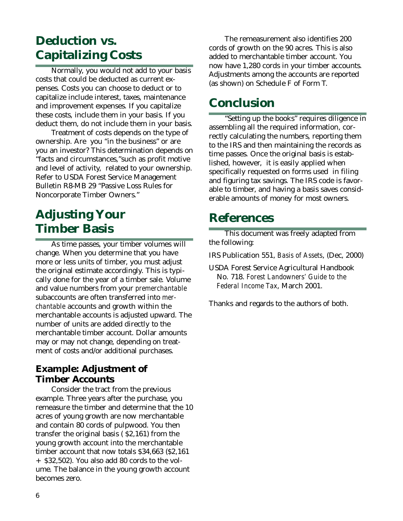## **Deduction vs. Capitalizing Costs**

Normally, you would not add to your basis costs that could be deducted as current expenses. Costs you can choose to deduct or to capitalize include interest, taxes, maintenance and improvement expenses. If you capitalize these costs, include them in your basis. If you deduct them, do not include them in your basis.

Treatment of costs depends on the type of ownership. Are you "in the business" or are you an investor? This determination depends on "facts and circumstances,"such as profit motive and level of activity, related to your ownership. Refer to USDA Forest Service Management Bulletin R8-MB 29 "Passive Loss Rules for Noncorporate Timber Owners."

# **Adjusting Your Timber Basis**

As time passes, your timber volumes will change. When you determine that you have more or less units of timber, you must adjust the original estimate accordingly. This is typically done for the year of a timber sale. Volume and value numbers from your *premerchantable* subaccounts are often transferred into *merchantable* accounts and growth within the merchantable accounts is adjusted upward. The number of units are added directly to the merchantable timber account. Dollar amounts may or may not change, depending on treatment of costs and/or additional purchases.

#### **Example: Adjustment of Timber Accounts**

Consider the tract from the previous example. Three years after the purchase, you remeasure the timber and determine that the 10 acres of young growth are now merchantable and contain 80 cords of pulpwood. You then transfer the original basis ( \$2,161) from the young growth account into the merchantable timber account that now totals \$34,663 (\$2,161 + \$32,502). You also add 80 cords to the volume. The balance in the young growth account becomes zero.

The remeasurement also identifies 200 cords of growth on the 90 acres. This is also added to merchantable timber account. You now have 1,280 cords in your timber accounts. Adjustments among the accounts are reported (as shown) on Schedule F of Form T.

### **Conclusion**

"Setting up the books" requires diligence in assembling all the required information, correctly calculating the numbers, reporting them to the IRS and then maintaining the records as time passes. Once the original basis is established, however, it is easily applied when specifically requested on forms used in filing and figuring tax savings. The IRS code is favorable to timber, and having a basis saves considerable amounts of money for most owners.

#### **References**

This document was freely adapted from the following:

IRS Publication 551, *Basis of Assets*, (Dec, 2000)

USDA Forest Service Agricultural Handbook No. 718. *Forest Landowners' Guide to the Federal Income Tax*, March 2001.

Thanks and regards to the authors of both.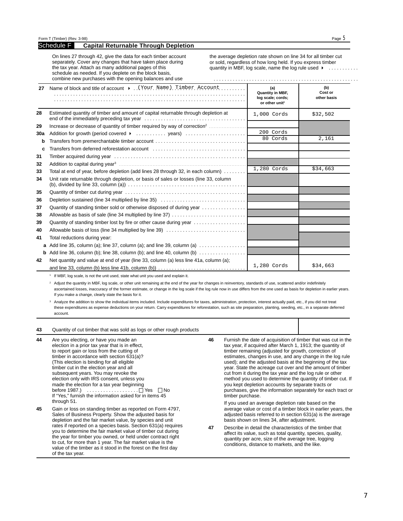#### Schedule F **Capital Returnable Through Depletion**

On lines 27 through 42, give the data for each timber account separately. Cover any changes that have taken place during the tax year. Attach as many additional pages of this schedule as needed. If you deplete on the block basis, combine new purchases with the opening balances and use

the average depletion rate shown on line 34 for all timber cut or sold, regardless of how long held. If you express timber quantity in MBF, log scale, name the log rule used  $\rightarrow$  ..........

|     | combine new purchases with the opening balances and use                                                |                                                                                   |                               |
|-----|--------------------------------------------------------------------------------------------------------|-----------------------------------------------------------------------------------|-------------------------------|
| 27  | Name of block and title of account $\rightarrow$ . (Your Name) Timber Account                          | (a)<br><b>Quantity in MBF,</b><br>log scale; cords;<br>or other unit <sup>1</sup> | (b)<br>Cost or<br>other basis |
| 28  | Estimated quantity of timber and amount of capital returnable through depletion at                     | 1,000 Cords                                                                       | \$32,502                      |
| 29  | Increase or decrease of quantity of timber required by way of correction <sup>2</sup>                  |                                                                                   |                               |
| 30a | Addition for growth (period covered $\rightarrow$ years)                                               | 200 Cords                                                                         |                               |
| b   | Transfers from premerchantable timber account                                                          | 80 Cords                                                                          | 2,161                         |
| C   |                                                                                                        |                                                                                   |                               |
| 31  |                                                                                                        |                                                                                   |                               |
| 32  |                                                                                                        |                                                                                   |                               |
| 33  | Total at end of year, before depletion (add lines 28 through 32, in each column)                       | 1,280 Cords                                                                       | \$34,663                      |
| 34  | Unit rate returnable through depletion, or basis of sales or losses (line 33, column                   |                                                                                   |                               |
| 35  |                                                                                                        |                                                                                   |                               |
| 36  |                                                                                                        |                                                                                   |                               |
| 37  | Quantity of standing timber sold or otherwise disposed of during year $\dots\dots\dots\dots\dots\dots$ |                                                                                   |                               |
| 38  | Allowable as basis of sale (line 34 multiplied by line 37)                                             |                                                                                   |                               |
| 39  | Quantity of standing timber lost by fire or other cause during year                                    |                                                                                   |                               |
| 40  | Allowable basis of loss (line 34 multiplied by line 39)                                                |                                                                                   |                               |
| 41  | Total reductions during year:                                                                          |                                                                                   |                               |
|     | <b>a</b> Add line 35, column (a); line 37, column (a); and line 39, column (a) $\ldots$                |                                                                                   |                               |
|     | <b>b</b> Add line 36, column (b); line 38, column (b); and line 40, column (b) $\ldots$                |                                                                                   |                               |
| 42  | Net quantity and value at end of year (line 33, column (a) less line 41a, column (a);                  |                                                                                   |                               |
|     |                                                                                                        | 1,280 Cords                                                                       | \$34,663                      |

<sup>1</sup> If MBF, log scale, is not the unit used, state what unit you used and explain it.

<sup>2</sup> Adjust the quantity in MBF, log scale, or other unit remaining at the end of the year for changes in reinventory, standards of use, scattered and/or indefinitely ascertained losses, inaccuracy of the former estimate, or change in the log scale if the log rule now in use differs from the one used as basis for depletion in earlier years. If you make a change, clearly state the basis for it.

<sup>3</sup> Analyze the addition to show the individual items included. Include expenditures for taxes, administration, protection, interest actually paid, etc., if you did not treat these expenditures as expense deductions on your return. Carry expenditures for reforestation, such as site preparation, planting, seeding, etc., in a separate deferred account.

| 43 | Quantity of cut timber that was sold as logs or other rough products                                                                                                                                                                                                                                                                                                                                                                                                                                                                                                                                                                                                                                                                                                                                                                                                                                                                                                                                                              |    |                                                                                                                                                                                                                                                                                                                                                                                                                                                                                                                                                                                                                                                 |  |
|----|-----------------------------------------------------------------------------------------------------------------------------------------------------------------------------------------------------------------------------------------------------------------------------------------------------------------------------------------------------------------------------------------------------------------------------------------------------------------------------------------------------------------------------------------------------------------------------------------------------------------------------------------------------------------------------------------------------------------------------------------------------------------------------------------------------------------------------------------------------------------------------------------------------------------------------------------------------------------------------------------------------------------------------------|----|-------------------------------------------------------------------------------------------------------------------------------------------------------------------------------------------------------------------------------------------------------------------------------------------------------------------------------------------------------------------------------------------------------------------------------------------------------------------------------------------------------------------------------------------------------------------------------------------------------------------------------------------------|--|
| 44 | Are you electing, or have you made an<br>election in a prior tax year that is in effect,<br>to report gain or loss from the cutting of<br>timber in accordance with section 631(a)?<br>(This election is binding for all eligible<br>timber cut in the election year and all<br>subsequent years. You may revoke the<br>election only with IRS consent, unless you<br>made the election for a tax year beginning<br>If "Yes," furnish the information asked for in items 45<br>through 51.<br>Gain or loss on standing timber as reported on Form 4797,<br>Sales of Business Property. Show the adjusted basis for<br>depletion and the fair market value, by species and unit<br>rates if reported on a species basis. Section 631(a) requires<br>you to determine the fair market value of timber cut during<br>the year for timber you owned, or held under contract right<br>to cut, for more than 1 year. The fair market value is the<br>value of the timber as it stood in the forest on the first day<br>of the tax year. | 46 | Furnish the date of acquisition of timber that was cut in the<br>tax year, if acquired after March 1, 1913; the quantity of<br>timber remaining (adjusted for growth, correction of<br>estimates, changes in use, and any change in the log rule<br>used); and the adjusted basis at the beginning of the tax<br>year. State the acreage cut over and the amount of timber<br>cut from it during the tax year and the log rule or other<br>method you used to determine the quantity of timber cut. If<br>you kept depletion accounts by separate tracts or<br>purchases, give the information separately for each tract or<br>timber purchase. |  |
| 45 |                                                                                                                                                                                                                                                                                                                                                                                                                                                                                                                                                                                                                                                                                                                                                                                                                                                                                                                                                                                                                                   | 47 | If you used an average depletion rate based on the<br>average value or cost of a timber block in earlier years, the<br>adjusted basis referred to in section 631(a) is the average<br>basis shown on lines 34, after adjustment.<br>Describe in detail the characteristics of the timber that<br>affect its value, such as total quantity, species, quality,<br>quantity per acre, size of the average tree, logging<br>conditions, distance to markets, and the like.                                                                                                                                                                          |  |